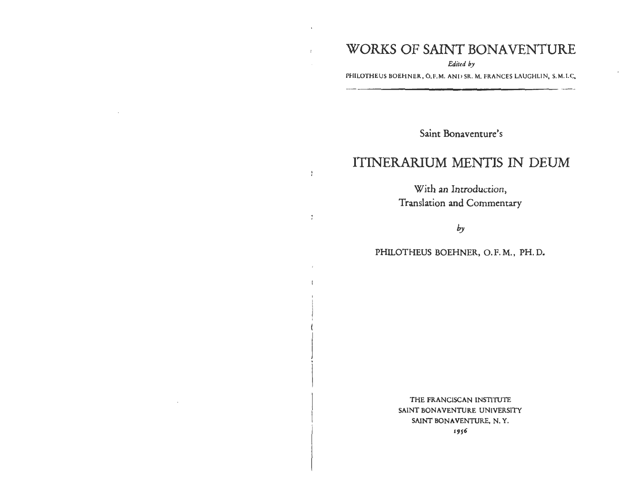# WORKS OF SAINT BONAVENTURE

 $\ddot{\phantom{a}}$ 

 $\cdot$ 

 $\ddot{\phantom{1}}$ 

*Edited by* 

PHILOTHEUS BOEHNER, O.F.M. AND SR. M. FRANCES LAUGHLIN, S.M.I.C.

Saint Bonaventure's

# ITINERARIUM MENTIS IN DEUM

With an Introduction, Translation and Commentary

*by* 

PHILOTHEUS BOEHNER, 0. F. M., PH. D.

THE FRANCISCAN INSTITUTE SAINT BONAVENTURE UNIVERSITY SAINT BONAVENTURE, N.Y. I9S6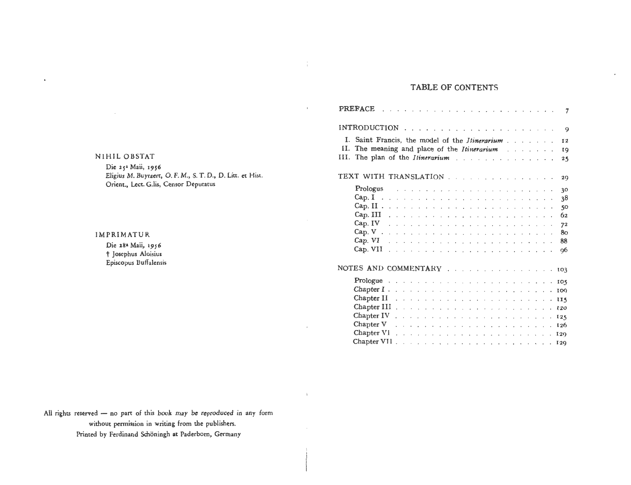# TABLE OF CONTENTS

 $\cdot$ 

| I. Saint Francis, the model of the <i>Itinerarium</i><br>II. The meaning and place of the <i>Itinerarium</i><br>III. The plan of the <i>Itinerarium</i><br>TEXT WITH TRANSLATION<br>Prologus descriptions of the contract of the contract of the contract of the contract of the contract of the contract of the contract of the contract of the contract of the contract of the contract of the contract of the c<br>30<br>Cap. I and a construction of the construction of the construction of $\mathcal{L}$<br>38<br>50<br>62<br>Cap. IV and a series are a series and a series of the series of $\mathbb{R}^n$<br>72<br>80<br>88<br>NOTES AND COMMENTARY 103<br>Chapter II and a subsequently and a subsequently state of the contract of the contract of the contract of the contract of the contract of the contract of the contract of the contract of the contract of the contract of the<br><b>II5</b><br>Chapter VI and a contract of the contract of the contract of the Lagrange Chapter of the Contract of the Chapter |  |  |  |  |  |  |  |  |  |  |  |  |                |
|-------------------------------------------------------------------------------------------------------------------------------------------------------------------------------------------------------------------------------------------------------------------------------------------------------------------------------------------------------------------------------------------------------------------------------------------------------------------------------------------------------------------------------------------------------------------------------------------------------------------------------------------------------------------------------------------------------------------------------------------------------------------------------------------------------------------------------------------------------------------------------------------------------------------------------------------------------------------------------------------------------------------------------------|--|--|--|--|--|--|--|--|--|--|--|--|----------------|
|                                                                                                                                                                                                                                                                                                                                                                                                                                                                                                                                                                                                                                                                                                                                                                                                                                                                                                                                                                                                                                     |  |  |  |  |  |  |  |  |  |  |  |  | $\overline{9}$ |
|                                                                                                                                                                                                                                                                                                                                                                                                                                                                                                                                                                                                                                                                                                                                                                                                                                                                                                                                                                                                                                     |  |  |  |  |  |  |  |  |  |  |  |  | I2             |
|                                                                                                                                                                                                                                                                                                                                                                                                                                                                                                                                                                                                                                                                                                                                                                                                                                                                                                                                                                                                                                     |  |  |  |  |  |  |  |  |  |  |  |  | <b>IQ</b>      |
|                                                                                                                                                                                                                                                                                                                                                                                                                                                                                                                                                                                                                                                                                                                                                                                                                                                                                                                                                                                                                                     |  |  |  |  |  |  |  |  |  |  |  |  | 25             |
|                                                                                                                                                                                                                                                                                                                                                                                                                                                                                                                                                                                                                                                                                                                                                                                                                                                                                                                                                                                                                                     |  |  |  |  |  |  |  |  |  |  |  |  | 2Q             |
|                                                                                                                                                                                                                                                                                                                                                                                                                                                                                                                                                                                                                                                                                                                                                                                                                                                                                                                                                                                                                                     |  |  |  |  |  |  |  |  |  |  |  |  |                |
|                                                                                                                                                                                                                                                                                                                                                                                                                                                                                                                                                                                                                                                                                                                                                                                                                                                                                                                                                                                                                                     |  |  |  |  |  |  |  |  |  |  |  |  |                |
|                                                                                                                                                                                                                                                                                                                                                                                                                                                                                                                                                                                                                                                                                                                                                                                                                                                                                                                                                                                                                                     |  |  |  |  |  |  |  |  |  |  |  |  |                |
|                                                                                                                                                                                                                                                                                                                                                                                                                                                                                                                                                                                                                                                                                                                                                                                                                                                                                                                                                                                                                                     |  |  |  |  |  |  |  |  |  |  |  |  |                |
|                                                                                                                                                                                                                                                                                                                                                                                                                                                                                                                                                                                                                                                                                                                                                                                                                                                                                                                                                                                                                                     |  |  |  |  |  |  |  |  |  |  |  |  |                |
|                                                                                                                                                                                                                                                                                                                                                                                                                                                                                                                                                                                                                                                                                                                                                                                                                                                                                                                                                                                                                                     |  |  |  |  |  |  |  |  |  |  |  |  |                |
|                                                                                                                                                                                                                                                                                                                                                                                                                                                                                                                                                                                                                                                                                                                                                                                                                                                                                                                                                                                                                                     |  |  |  |  |  |  |  |  |  |  |  |  |                |
|                                                                                                                                                                                                                                                                                                                                                                                                                                                                                                                                                                                                                                                                                                                                                                                                                                                                                                                                                                                                                                     |  |  |  |  |  |  |  |  |  |  |  |  | 96             |
|                                                                                                                                                                                                                                                                                                                                                                                                                                                                                                                                                                                                                                                                                                                                                                                                                                                                                                                                                                                                                                     |  |  |  |  |  |  |  |  |  |  |  |  |                |
|                                                                                                                                                                                                                                                                                                                                                                                                                                                                                                                                                                                                                                                                                                                                                                                                                                                                                                                                                                                                                                     |  |  |  |  |  |  |  |  |  |  |  |  |                |
|                                                                                                                                                                                                                                                                                                                                                                                                                                                                                                                                                                                                                                                                                                                                                                                                                                                                                                                                                                                                                                     |  |  |  |  |  |  |  |  |  |  |  |  |                |
|                                                                                                                                                                                                                                                                                                                                                                                                                                                                                                                                                                                                                                                                                                                                                                                                                                                                                                                                                                                                                                     |  |  |  |  |  |  |  |  |  |  |  |  |                |
|                                                                                                                                                                                                                                                                                                                                                                                                                                                                                                                                                                                                                                                                                                                                                                                                                                                                                                                                                                                                                                     |  |  |  |  |  |  |  |  |  |  |  |  |                |
|                                                                                                                                                                                                                                                                                                                                                                                                                                                                                                                                                                                                                                                                                                                                                                                                                                                                                                                                                                                                                                     |  |  |  |  |  |  |  |  |  |  |  |  |                |
|                                                                                                                                                                                                                                                                                                                                                                                                                                                                                                                                                                                                                                                                                                                                                                                                                                                                                                                                                                                                                                     |  |  |  |  |  |  |  |  |  |  |  |  | 125            |
|                                                                                                                                                                                                                                                                                                                                                                                                                                                                                                                                                                                                                                                                                                                                                                                                                                                                                                                                                                                                                                     |  |  |  |  |  |  |  |  |  |  |  |  | 126            |
|                                                                                                                                                                                                                                                                                                                                                                                                                                                                                                                                                                                                                                                                                                                                                                                                                                                                                                                                                                                                                                     |  |  |  |  |  |  |  |  |  |  |  |  |                |
|                                                                                                                                                                                                                                                                                                                                                                                                                                                                                                                                                                                                                                                                                                                                                                                                                                                                                                                                                                                                                                     |  |  |  |  |  |  |  |  |  |  |  |  |                |

# NIHIL OBSTAT

 $\sim$   $\sim$ 

 $\,$   $\,$ 

Die *25•* Maii, *19 56*  Eligius M. Buytaert, 0. F. M., S. T. D., D. Litt. et Hist. Orient., Lect. G.lis, Censor Deputatus

 $\frac{1}{4}$ 

 $\mathcal{A}$ 

 $\sim$ 

 $\sim 4$ 

 $\sim$ 

#### IMPRIMATUR

| Die 28 <sup>2</sup> Maii, 1956 |
|--------------------------------|
| † Josephus Aloisius            |
| Episcopus Buffalensis          |

All rights reserved - no part of this book may be reproduced in any form without permission in writing from the publishers. Printed by Ferdinand Schöningh at Paderborn, Germany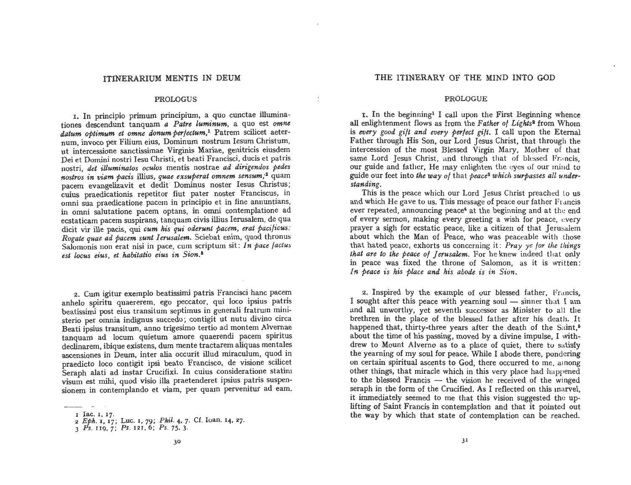## ITINERARIUM MENTIS IN DEUM

#### **PROLOGUS**

I. In principio primum principium, a quo cunctae illuminationes descendunt tanquam *a Patre luminum,* a quo est *omne datum optimum et omne donum perfectum,* 1 Patrem scilicet aeternum, invoco per Filium eius, Dominum nostrum Iesum Christum, ut intercessione sanctissimae Virginis Mariae, genitricis eiusdem Dei et Domini nostri Iesu Christi, et beati Francisci, ducis et patris nostri, *det illuminatos oculos* mentis nostrae *ad dirigendos pedes nostros in viam pacis* illius, *quae exsuperat omnem sensum;<sup>2</sup>*quam pacem evangelizavit et dedit Dominus noster Iesus Christus; cuius praedicationis repetitor fiut pater noster Franciscus, in omni sua praedicatione pacem in principio et in fine annuntians, in omni salutatione pacem optans, in omni contemplatione ad ecstaticam pacem suspirans, tanquam civis illius Ierusalem, de qua dicit vir ille pacis, qui *cum his qui oderunt pacem, erat pacificus*: *Rogate quae ad pacem sunt I erusalem.* Sciebat enim, quod thronus Salomonis non erat nisi in pace, cum scriptum sit: In pace factus *est locus eius, et habitatio eius in Sion.* <sup>a</sup>

2. Cum igitur exemplo beatissimi patris Francisci hanc pacem anhelo spiritu quaererem, ego peccator, qui loco ipsius patris beatissimi post eius transitum septimus in generali fratrurn ministerio per omnia indignus succedo; contigit ut nutu divino circa Beati ipsius transitum, anno trigesimo tertio ad montem Alvernae tanquam ad locum quietum amore quaerendi pacem spiritus declinarem, ibique existens, dum mente tractarem aliquas mentales ascensiones in Deum, inter alia occurit illud miraculum, quod in praedicto loco contigit ipsi beato Francisco, de visione scilicet Seraph alati ad instar Crucifixi. In cuius consideratione statim visum est mihi, quod visio ilia praetenderet ipsius patris suspensionem in contemplando et viam, per quam pervenitur ad eam.

## THE ITINERARY OF THE MIND INTO GOD

#### PROLOGUE

I. In the beginning<sup>1</sup> I call upon the First Beginning whence all enlightenment flows as from the *Father of Lights2* from Whom is *every good gift and every perfect gift.* I call upon the Eternal Father through His Son, our Lord Jesus Christ, that through the intercession of the most Blessed Virgin Mary, Mother of that same Lord Jesus Christ, and through that of blessed Francis, our guide and father, He may enlighten the eyes of our mind to guide our feet into *the way of* that *peace8 which surpasses all understanding.* 

This is the peace which our Lord Jesus Christ preached to us and which He gave to us. Tllis message of peace our father Francis ever repeated, announcing peace4 at the beginning and at the end of every sermon, making every greeting a wish for peace, every prayer a sigh for ecstatic peace, like a citizen of that Jerusalem about which the Man of Peace, who was peaceable with those that hated peace, exhorts us concerning it : *Pray ye for the things that are to the peace of Jerusalem.* For he knew indeed that only in peace was fixed the throne of Salomon, as it is written: *In peace is his place and his abode is in Sion.* 

2. Inspired by the example of our blessed father, Francis, I sought after this peace with yearning soul  $-$  sinner that I am and all unworthy, yet seventh successor as Minister to all the brethren in the place of the blessed father after his death. It happened that, thirty-three years after the death of the Saint,<sup>5</sup> about the time of his passing, moved by a divine impulse, I withdrew to Mount Alverno as to a place of quiet, there to satisfy the yearning of my soul for peace. While I abode there, pondering on certain spiritual ascents to God, there occurred to me, among other things, that miracle which in this very place had happened to the blessed Francis — the vision he received of the winged seraph in the form of the Crucified. As I reflected on this marvel, it immediately seemed to me that this vision suggested the uplifting of Saint Francis in contemplation and that it pointed out the way by which that state of contemplation can be reached.

30

I lac. I, 17.

<sup>2</sup> Eph. 1, 17; Luc. I, 79; Phil. 4, 7· Cf. loan. 14, 27.

<sup>3</sup> *Ps.* II9, 7; *Ps.* 121, 6 ; *Ps.* 75. 3·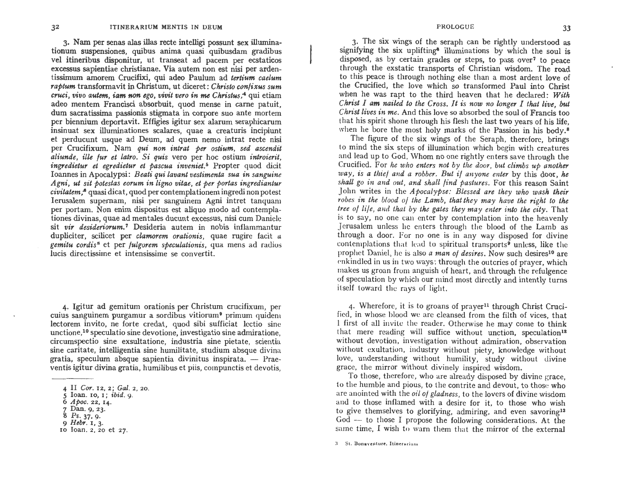3· Nam per senas alas illas recte intelligi possunt sex illuminationum suspensiones, quibus anima quasi quibusdam gradibus vel itineribus disponitur, ut transeat ad pacem per ecstaticos excessus sapientiae christianae. Via autem non est nisi per ardentissimum amorem Crucifixi, qui adeo Paulum ad *tertium caelum raptum* transformavit in Christum, ut diceret: *Christo confixus sum cruci, vivo autem, iam non ego, vivit vero in me Christus,*<sup>4</sup>qui etiam adeo mentem Francisci absorbuit, quod mense in carne patuit, dum sacratissima passionis stigmata in corpore suo ante mortem per biennium deportavit. Effigies igitur sex alarum seraphicarum insinuat sex illuminationes scalares, quae a creaturis incipiunt et perducunt usque ad Deum, ad quem nemo intrat recte nisi per Crucifixum. Nam *qui non intrat per ostium, sed ascendit aliunde, ille fur et latro. Si quis* vero per hoc ostium *introierit, ingredietur et egredietur et pascua inveniet.*6 Propter quod dicit Ioannes in Apocalypsi: *Beati qui lavant vestimenta sua in sanguine Agni, ut sit potestas eorum in ligno vitae, et per portas ingrediantur civitatem;'* quasidicat, quod percontemplationemingredinonpotest Jerusalem supemam, nisi per sanguinem Agni intret tanquam per portam. Non enim dispositus est aliquo modo ad contemplationes divinas, quae ad mentales ducunt excessus, nisi cum Daniele sit *vir desideriorum.* 7 Desideria autem in nobis inflammantur dupliciter, scilicet per *clamorem orationis,* quae rugire facit <sup>a</sup> *gemitu cordis <sup>8</sup>*et per *fulgorem speculationis,* qua mens ad radios lucis directissime et intensissime se convertit.

4· lgitur ad gemitum orationis per Christum crucifixum, per cuius sanguinem purgamur a sordibus vitiorum9 primum quidem lectorem invito, ne forte credat, quod sibi sufficiat lectio sine unctione,10 speculatio sine devotione, investigatio sine admiratione, circumspectio sine exsultatione, industria sine pietate, scientia sine caritate, intelligentia sine humilitate, studium absque divina gratia, speculum absque sapientia divinitus inspirata.  $-$  Praeventis igitur divina gratia, humilibus et piis, compunctis et devotis,

#### PROLOGUE 33

3· The six wings of the seraph can be rightly understood as signifying the six uplifting<sup>6</sup> illuminations by which the soul is disposed, as by certain grades or steps, to pass over<sup>7</sup> to peace through the exstatic transports of Christian wisdom. The road to this peace is through nothing else than a most ardent love of the Crucified, the love which so transformed Paul into Christ when he was rapt to the third heaven that he declared: *With Christ* I *am nailed to the Cross.* It *is now no longer* I *that live, but Christ lives in me.* And this love so absorbed the soul of Francis too that his spirit shone through his flesh the last two years of his life, when he bore the most holy marks of the Passion in his body.<sup>8</sup>

The figure of the six wings of the Seraph, therefore, brings to mind the six steps of illumination which begin with creatures and lead up to God, Whom no one rightly enters save through the Crucified. For *he who enters not by the door, but climbs up another way, is a thief and a robber. But if anyone enter* by this door, *he shall go in and out, and shall find pastures.* For this reason Saint John writes in the *Apocalypse: Blessed are they who wash their robes in the blood of the Lamb, that they may have the right to the tree of life, and that by the gates they may enter into the city.* That is to say, no one can enter by contemplation into the heavenly Jerusalem unless he enters through the blood of the Lamb as through a door. For no one is in any way disposed for divine contemplations that lead to spiritual transports<sup>9</sup> unless, like the prophet Daniel, he is also *a man of desires.* Now such desires10 are enkindled in us in two ways: through the outcries of prayer, which makes us groan from anguish of heart, and through the refulgence of speculation by which our mind most directly and intently turns itself toward the rays of light.

4. Wherefore, it is to groans of prayer<sup>11</sup> through Christ Crucified, in whose blood we are cleansed from the filth of vices, that 1 first of all invite the reader. Otherwise he may come to think that mere reading will suffice without unction, speculation<sup>12</sup> without devotion, investigation without admiration, observation without exultation, industry without piety, knowledge without love, understanding without humility, study without divine grace, the mirror without divinely inspired wisdom.

To those, therefore, who are already disposed by divine grace, to the humble and pious, to the contrite and devout, to those who are anointed with the *oil of gladness,* to the lovers of divine wisdom and to those inflamed with a desire for it, to those who wish to give themselves to glorifying, admiring, and even savoring13 God - to those I propose the following considerations. At the same time, I wish to warn them that the mirror of the external

<sup>4</sup> II *Cor.* 12, 2; *Gal.* 2, 20.

<sup>5</sup> loan. IO, I; ibid. g.

<sup>6</sup>*Apoc.* 22, I4.

<sup>7</sup> Dan. g, 23. 8 *Ps.* 37, g.

g *Hebr.* I, 3·

IO loan. 2, 20 et 27.

 $:$  St. Bonaventure, Itinerarium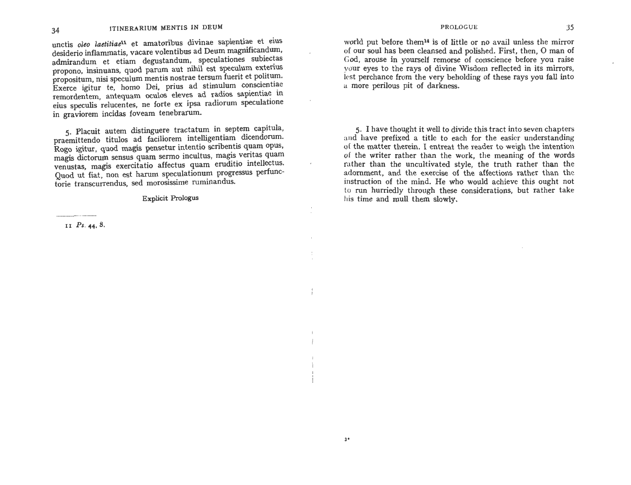unctis *oleo laetitiae11* et amatoribus divinae sapientiae et eius desiderio inflammatis, vacare volentibus ad Deum magnificandum, admirandum et etiam degustandum, speculationes subiectas propono, insinuans, quod parum aut nihil est speculum exterius propositum, nisi speculum mentis nostrae tersum fuerit et politum. Exerce igitur te, homo Dei, prius ad stimulum conscientiae remordentem, antequam oculos eleves ad radios sapientiae in eius speculis relucentes, ne forte ex ipsa radiorum speculatione in graviorem incidas foveam tenebrarum.

5· Placuit autem distinguere tractatum in septem capitula, praemittendo titulos ad faciliorem intelligentiam dicendorum. Rogo igitur, quod magis pensetur intentio scribentis quam opus, magis dictorum sensus quam sermo incultus, magis veritas quam venustas, magis exercitatio affectus quam eruditio intellectus. Quod ut fiat, non est harum speculationum progressus perfunctorie transcurrendus, sed morosissime ruminandus.

#### Explicit Prologus

II *Ps.* 44, 8.

world put before them14 is of little or no avail unless the mirror of our soul has been cleansed and polished. First, then, 0 man of God, arouse in yourself remorse of conscience before you raise your eyes to the rays of divine Wisdom reflected in its mirrors, lest perchance from the very beholding of these rays you fall into a more perilous pit of darkness.

5· I have thought it well to divide this tract into seven chapters and have prefixed a title to each for the easier understanding of the matter therein. I entreat the reader to weigh the intention of the writer rather than the work, the meaning of the words rather than the uncultivated style, the truth rather than the adornment, and the exercise of the affections rather than the instruction of the mind. He who would achieve this ought not to run hurriedly through these considerations, but rather take his time and mull them slowly.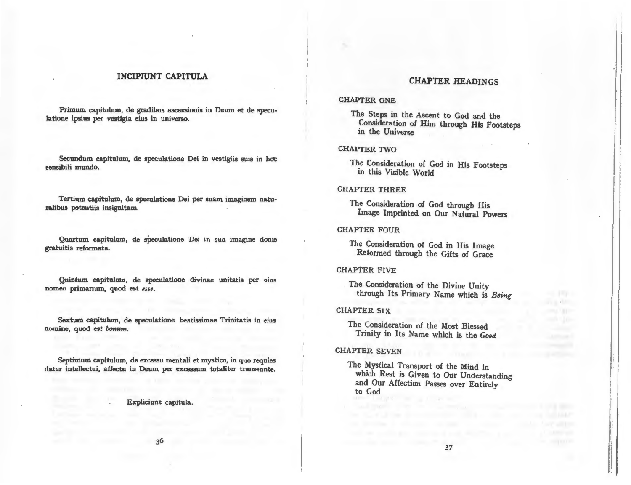# INCIPIUNT CAPITULA

Primum capitulum, de gradibus ascensionis in Deum et de speculatione ipsius per vestigia eius in universo.

Secundum capitulum, de speculatione Dei in vestigiis suis in hoc sensibili mundo.

Tertium capitulum, de speculatione Dei per suam imaginem naturalibus potentiis insignitam.

Quartum capitulum, de speculatione Dei in sua imagine donis gratuitis reformata.

Quintum capitulum, de speculatione divinae unitatis per eius nomen primanum, quod est *esse.* 

Sextum capitulum, de speculatione beatissimae Trinitatis in eius nomine, quod est *bonum.* 

Septimum capitulum, de excessu mentali et mystico, in quo requies datur intellectui, affectu in Deum per excessum totaliter transeunte.

Expliciunt capitula.

## CHAPTER HEADINGS

I;

I I

I

I

 $\begin{bmatrix} 1 \\ 0 \end{bmatrix}$ 

 $\blacksquare$ 

:j 'I

## CHAPTER ONE

The Steps in the Ascent to God and the Consideration of Him through His Footsteps in the Universe

#### CHAPTER TWO

The Consideration of God in His Footsteps in this Visible World

#### CHAPTER THREE

The Consideration of God through His Image Imprinted on Our Natural Powers

#### CHAPTER FOUR

The Consideration of God in His Image Reformed through the Gifts of Grace

## CHAPTER FIVE

The Consideration of the Divine Unity through Its Primary Name which is *Being* 

## CHAPTER SIX

The Consideration of the Most Blessed Trinity in Its Name which is the *Good* 

# CHAPTER SEVEN

The Mystical Transport of the Mind in which Rest is Given to Our Understanding and Our Affection Passes over Entirely to God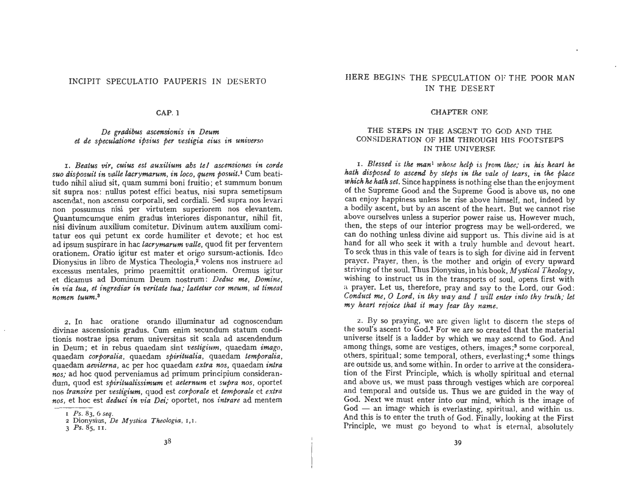#### INCIPIT SPECULATIO PAUPERIS IN DESERTO

#### CAP. I

## *De gradibus ascensionis in Deum et de speculatione ipsius per vestigia eius in universo*

1. *Beatus vir, cuius est auxilium abs tel ascensiones in corde suo disposuit in valle lacrymarum, in loco, quem posuit.*1 Cum beatitudo nihil aliud sit, quam summi boni fruitio; et summum bonum sit supra nos: nullus potest effici beatus, nisi supra semetipsum ascendat, non ascensu corporali, sed cordiali. Sed supra nos levari non possumus nisi per virtutem superiorem nos elevantem. Quantumcumque enim gradus interiores disponantur, nihil fit, nisi divinum auxilium cornitetur. Divinum autem auxilium comitatur eos qui petunt ex corde humiliter et devote; et hoc est ad ipsum suspirare in hac *lacrymarum valle,* quod fit per ferventem orationem. Oratio igitur est mater et origo sursum-actionis. Ideo Dionysius in libro de Mystica Theologia,<sup>2</sup> volens nos instruere ad excessus mentales, primo praemittit orationem. Oremus igitur et dicamus ad Dominum Deum nostrum: *Deduc me, Domine, in via tua, et ingrediar in veritate tua; laetetur cor meum, ut timeat nomen tuum.* <sup>3</sup>

<sup>2</sup> . In hac oratione orando illuminatur ad cognoscendum divinae ascensionis gradus. Cum enim secundum statum conditionis nostrae ipsa rerum universitas sit scala ad ascendendum in Deum; et in rebus quaedam sint *vestigium,* quaedam *imago ,*  quaedam *corporalia,* quaedam *spiritualia,* quaedam *temporalia,*  quaedam *aeviterna,* ac per hoc quaedam *extra nos,* quaedam *intra nos;* ad hoc quod perveniamus ad primum principium considerandum, quod est *spiritualissimum* et *aeternum* et *supra nos,* oportet nos *transire* per *vestigium,* quod est *corporate* et *temporale* et *extra nos,* et hoc est *deduci in via Dei;* oportet, nos *intrare* ad mentem

# HERE BEGINS THE SPECULATION OF THE POOR MAN IN THE DESERT

#### CHAPTER ONE

#### THE STEPS IN THE ASCENT TO GOD AND THE CONSIDERATION OF HIM THROUGH HIS FOOTSTEPS IN THE UNIVERSE

I. *Blessed is the man1 whose help is from thee; in his heart he hath disposed to ascend by steps in the vale of tears, in the place*  which he hath set. Since happiness is nothing else than the enjoyment of the Supreme Good and the Supreme Good is above us, no one can enjoy happiness unless he rise above himself, not, indeed by a bodily ascent, but by an ascent of the heart. But we cannot rise above ourselves unless a superior power raise us. However much, then, the steps of our interior progress may be well-ordered, we can do nothing unless divine aid support us. This divine aid is at hand for all who seek it with a truly humble and devout heart. To seek thus in this vale of tears is to sigh for divine aid in fervent prayer. Prayer, then, is the mother and origin of every upward striving of the soul. Thus Dionysius, in his book, *Mystical Theology,*  wishing to instruct us in the transports of soul, opens first with a. prayer. Let us, therefore, pray and say to the Lord, our God: *Conduct me, O Lord, in thy way and I will enter into thy truth; let my heart rejoice that it may fear thy name.* 

2. By so praying, we are given light to discern the steps of the soul's ascent to God.<sup>2</sup> For we are so created that the material universe itself is a ladder by which we may ascend to God. And among things, some are vestiges, others, images;<sup>3</sup> some corporeal, others, spiritual; some temporal, others, everlasting; 4 some things are outside us, and some within. In order to arrive at the consideration of the First Principle, which is wholly spiritual and eternal and above us, we must pass through vestiges which are corporeal and temporal and outside us. Thus we are guided in the way of God. Next we must enter into our mind, which is the image of  $God - an image which is eventually, spiritual, and within us.$ And this is to enter the truth of God. Finally, looking at the First Principle, we must go beyond to what is eternal, absolutely

<sup>I</sup>*Ps.* 83, 6 *seq.* 

<sup>2</sup> Dionysius, *De M ystica Theologia,* I,I.

 $3$  *Ps.* 85, II.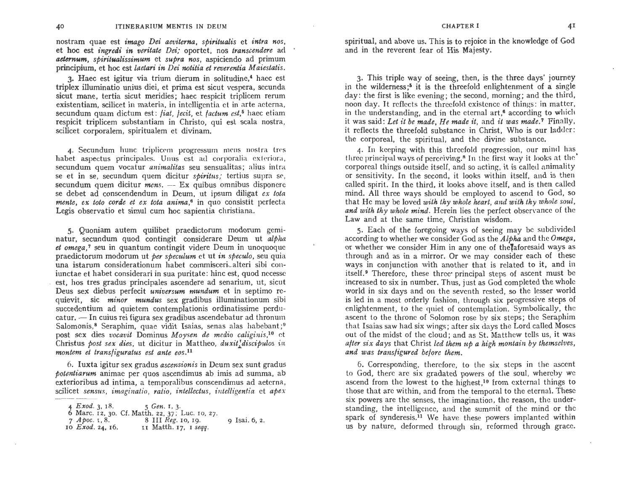nostram quae est *imago Dei aeviterna, spiritualis* et *intra nos,*  et hoc est *ingredi in veritate Dei;* oportet, nos *transcendere* ad *aeternum, spiritualissimum* et *supra nos,* aspiciendo ad primum principium, et hoc est *laetari in Dei notitia et reverentia Maiestatis*.

3· Haec est igitur via trium dierum in solitudine,4 haec est triplex illuminatio unius diei, et prima est sicut vespera, secunda sicut mane, tertia sicut meridies; haec respicit triplicem rerum existentiam, scilicet in materia, in intelligentia et in arte aeterna, secundum quam dictum est: *fiat, fecit,* et *factum est, <sup>5</sup>*haec etiam respicit triplicem substantiam in Christo, qui est scala nostra, scilicet corporalem, spiritualem et divinam.

4· Secundum hunc triplicem progressum mens nostra trr.s habet aspectus principales. Unus est ad corporalia exteriora, secundum quem vocatur *animalitas* seu sensualitas; alius intra se et in se, secundum quem dicitur *spiritus;* tertius supra se, secundum quem dicitur *mens.* --- Ex quibus omnibus disponere se debet ad conscendendum in Deum, ut ipsum diligat *ex tota*  nente, ex toto corde et ex tota anima,<sup>6</sup> in quo consistit perfecta Legis observatio et simul cum hoc sapientia christiana.

5· Quoniam autem quilibet praedictorum modorum geminatur, secundum quod contingit considerare Deum ut *alpha et omega,* 7 seu in quantum contingit videre Deum in unoquoque praedictorum modorum ut *per speculum* et ut *in speculo,* seu quia una istarum considerationum habet commisceri-alteri sibi coniunctae et habet considerari in sua puritate: hinc est, quod necesse est, hos tres gradus principales ascendere ad senarium, ut, sicut Deus sex diebus perfecit *universum mundum* et in septimo requievit, sic *minor mundus* sex gradibus illuminationum sibi succedentium ad quietem contemplationis ordinatissime perducatur. — In cuius rei figura sex gradibus ascendebatur ad thronum Salomonis,<sup>8</sup> Seraphim, quae vidit Isaias, senas alas habebant;<sup>9</sup> post sex dies *vocavit* Dominus *Moysen de medio caliginis,10* et Christus *post sex dies*, ut dicitur in Mattheo, *duxit* discipulos in *montem et transfiguratus est ante eos.*<sup>11</sup>

6. Juxta igitur sex gradus *ascensionis* in Deum sex sunt gradus *potentiarum* animae per quos ascendimus ab imis ad summa, ab exterioribus ad intima, a temporalibus conscendimus ad aeterna, scilicet *sensus, imaginatio, ratio, intellectus, intelligentia* et apex

spiritual, and above us. This is to rejoice in the knowledge of God and in the reverent fear of His Majesty.

3. This triple way of seeing, then, is the three days' journey in the wilderness;<sup>5</sup> it is the threefold enlightenment of a single day: the first is like evening; the second, morning; and the third, noon day. It reflects the threefold existence of things: in matter, in the understanding, and in the eternal  $art<sup>6</sup>$  according to which it was said: *Let it be made, He made it,* and *it was made.* 7 Finally, it reflects the threefold substance in Christ, Who is our ladder: the corporeal, the spiritual, and the divine substance.

4· In keeping with this threefold progression, our mind has three principal ways of perceiving. 8 In the first way it loo ks at the ' corporeal things outside itself, and so acting, it is called animality or sensitivity. In the second, it looks within itself, and is then called spirit. In the third, it looks above itself, and is then called mind. All three ways should be employed to ascend to God, so that He may be loved *with thy whole heart, and with thy whole soul, and with thy whole mind.* Herein lies the perfect observance of the Law and at the same time, Christian wisdom.

s. Each of the foregoing ways of seeing may be subdivided according to whether we consider God as the *Alpha* and the *Omega,*  or whether we consider Him in any one of thelaforesaid ways as through and as in a mirror. Or we may consider each of these ways in conjunction with another that is related to it, and in itself. 9 Therefore, these three· principal steps of ascent must be increased to six in number. Thus, just as God completed the whole world in six days and on the seventh rested, so the lesser world is led in a most orderly fashion, through six progressive steps of enlightenment, to the quiet of contemplation. Symbolically, the ascent to the throne of Solomon rose by six steps; the Seraphim that Isaias saw had six wings; after six days the Lord called Moses out of the midst of the cloud; and as St. Matthew tells us, it was *after six days that Christ led them up a high montain by themselves, and was transfigured before them.* 

6. Corresponding, therefore, to the six steps in the ascent to God, there are six gradated powers of the soul, whereby we ascend from the lowest to the highest, 10 from external things to those that are within, and from the temporal to the eternal. These six powers are the senses, the imagination, the reason, the understanding, the intelligence, and the summit of the mind or the spark of synderesis.<sup>11</sup> We have these powers implanted within us by nature, deformed through sin, reformed through grace.

<sup>4</sup> *Exod.* 3, 18. 5 *Gen.* I, 3·

<sup>6</sup> Marc. I2, JO. Cf. Matth. 22, 37; Luc. IO, 27.

<sup>7</sup> *Apoc.* 1, 8. 8 III *Reg.* 10, 19. 9 Isai. 6, 2.

<sup>10</sup>*Exod.* 24, r6. II Matth. 17, I *seqq.*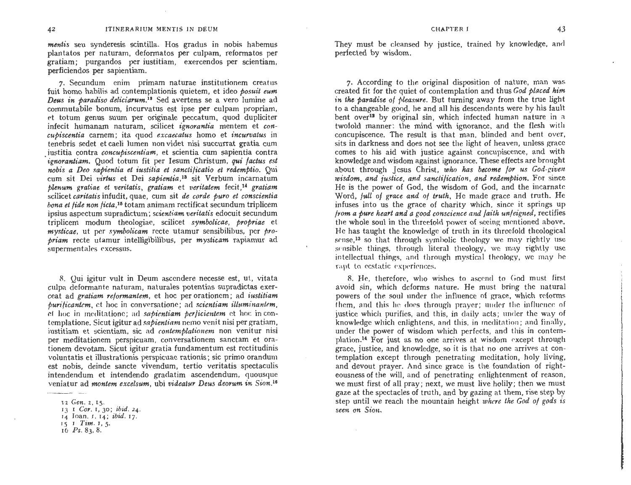*mentis* seu synderesis scintilla. Hos gradus in nobis habemus plantatos per naturam, deformatos per culpam, reformatos per gratiam; purgandos per iustitiam, exercendos per scientiam, perficiendos per sapientiam.

7· Secundum enim primam naturae institutionem creatus fuit homo habilis ad contemplationis quietem, et ideo *posuit eum*  Deus in paradiso deliciarum.<sup>18</sup> Sed avertens se a vero lumine ad commutabile bonum, incurvatus est ipse per culpam propriam, et totum genus suum per originale peccatum, quod dupliciter infecit humanam naturam, scilicet *ignorantia* mentem et *concupiscentia* carnem; ita quod *excaecatus* homo et *incurvatus* in tenebris sedet et caeli lumen non videt nisi succurrat gratia cum iustitia contra *concupiscentiam*, et scientia cum sapientia contra *ignorantiam.* Quod totum fit per Iesum Christum, *qui factus est nobis a Deo sapientia et iustitia et sanctificatio et redemptio.* Qui cum sit Dei *virtus* et Dei *sapientia,13* sit Verbum incarnatum *<sup>p</sup>lenum gratiae et veritatis, gratiam* et *veritatem* fecit,14 *gratiam*  scilicet *caritatis* infudit, quae, cum sit *de corde puro et conscientia bona et fide non ficta,15* totam animam rectificat secundum triplicem ipsius aspectum supradictum; *scientiam veritatis* edocuit secundum triplicem modum theologiae, scilicet *symbolicae, propriae* et *mysticae,* ut per *symbolicam* recte utamur sensibilibus, per *propriam* recte utamur intelligibilibus, per *mysticam* rapiamur ad supermentales excessus.

8. Qui igitur vult in Deum ascendere necesse est, ut, vitata culpa deformante naturam, naturales potentias supradictas exerceat ad *gratiam reformantem,* et hoc per oration em; ad *iustitiam purificantem*, et hoc in conversatione; ad *scientiam illuminantem*, ct hoc in meditalionc; ad *sapicntiam pcrficimtem* ct hoc in contemplatione. Sicut igitur ad *sapientiam* nemo venit nisi per gratiam, iustitiam et scicntiam, sic ad *contemplationem* non venitur nisi per meditationem perspicuam, conversationem sanctam et orationem devotam. Sicut igitur gratia fundamentum est rectitudinis voluntatis et illustrationis perspicuae rationis; sic primo orandum est nobis, deinde sancte vivendum, tertio veritatis spectaculis intendendum et intendendo gradatim ascendendum, quousque veniatur ad *montem excelsum,* ubi *videatur Deus deorum in Sion.* <sup>16</sup> They must be cleansed by justice, trained by knowledge, and perfected by wisdom.

7· According to the original disposition of nature, man was created fit for the quiet of contemplation and thus *God placed him in the paradise of pleasure*. But turning away from the true light to a changeable good, he and all his descendants were by his fault bent over<sup>12</sup> by original sin, which infected human nature in a twofold manner: the mind with ignorance, and the flesh with concupiscence. The result is that man, blinded and bent over, sits in darkness and does not see the light of heaven, unless grace comes to his aid with justice against concupiscence, and with knowledge and wisdom against ignorance. These effects are brought about through Jesus Christ, *who has become for us God-given wisdom, and fustice, and sanctification, and redemption.* For since He is the power of God, the wisdom of God, and the incarnate Word, *full of grace and of truth*, He made grace and truth. He infuses into us the grace of charity which, since it springs up *from a pure heart and a good conscience and faith unfeigned,* rectifies the whole soul in the threefold power of seeing mentioned above. He has taught the knowledge of truth in its threefold theological  $sense$ ,<sup>13</sup> so that through symbolic theology we may rightly use sensible things, through literal theology, we may rightly usc intellectual things, and through mystical theology, we may be rapt to ecstatic experiences.

8. He, therefore, who wishes to ascend to God must first avoid sin, which deforms nature. He must bring the natural powers of the soul under the influence of grace, which reforms them, and this he does through prayer; under the influence of justice which purifies, and this, in daily acls; under the way of knowledge which enlightens, and this, in meditation; and finally, under the power of wisdom which perfects, and this in contcmplation.14 For just as no one arrives at wisdom except through grace, justice, and knowledge, so it is that no one arrives at contemplation except through penetrating meditation, holy living, and devout prayer. And since grace is the foundation of righteousness of the will, and of penetrating enlightenment of reason, we must first of all pray; next, we must live holily; then we must gaze at the spectacles of truth, and by gazing at them, rise step by step until we reach the mountain height *where the God of gods is sem on Sion.* 

<sup>12</sup>*Gen.* 2, I5.

<sup>13</sup> I *Cor.* I, 30; *ibid.* 24.

r4 Joan . I, 14; *ibid.* 17.

<sup>1</sup>*5* I *Tim.* r, 5·

<sup>16</sup> *Ps.* 83, 8.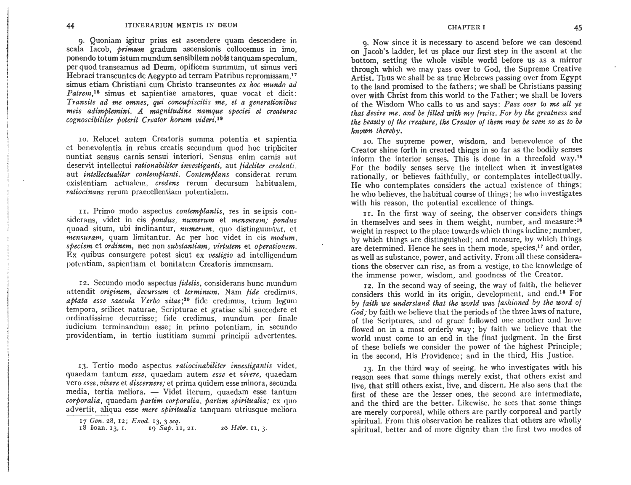9· Quoniam igitur prius est ascendere quam descendere in scala Iacob, *primum* gradum ascensionis collocemus in imo, ponendo to tum istum mundum sensibilem nobis tanquam speculum, per quod transeamus ad Deum, opificem summum, ut simus veri Hebraei transeuntes de Aegypto ad terram Patribus repromissam,17 simus etiam Christiani cum Christo transeuntes *ex hoc mundo ad Patrem, 1s* simus et sapientiae amatores, quae vocat et dicit: *Transite ad me omnes, qui concupiscitis me, et a generationibus meis adimplemini. A magnitudine namque speciei et creaturae cognoscibiliter poterit Creator horum videri.19* 

10. Relucet autem Creatoris summa potentia et sapientia ct benevolentia in rebus creatis secundum quod hoc tripliciter nuntiat sensus carnis sensui interiori. Sensus enim carnis aut deservit intellectui *rationabiliter investiganti,* aut *fideliter credenti,*  aut *intellectualiter contemplanti. Contemplans* considerat rerum existentiam actualem, *credens* rerum decursum habitualem, *ratiocinans* rerum praecellentiam potentialem.

II. Primo modo aspectus *contemplantis,* res in se ipsis considerans, videt in eis *pondus*, numerum et mensuram; pondus quoad situm, ubi inclinantur, *numerum,* quo distinguuutur, et *mensuram*, quam limitantur. Ac per hoc videt in cis *modum*, *speciem* et *ordinem,* nee non *substantiam, virtutem* et *operationem.*  Ex quibus consurgere potest sicut ex *vestigio* ad intelligendum potcntiam, sapientiam ct bonitatem Creatoris immensam.

12. Secunda modo aspectus *fidelis,* considerans hunc mundum attendit *originem, decursum* et *terminum.* Nam *fide* credimus, *aptata esse saecula Verbo vitae*;<sup>20</sup> fide credimus, trium legum tempora, scilicet naturae, Scripturae et gratiae sibi succedere et ordinatissime decurrisse; fide credimus, mundum per finale iudicium terminandum esse; in primo potentiam, in secundo providentiam, in tertio iustitiam summi principii advertentes.

13. Tertio modo aspect us *ratiocinabiliter investigantis* videt, quaedam tantum *esse,* quaedam autem *esse* et *vivere,* quaedam vero *esse, vivere* et *discernere;* et prima quidem esse minora, secunda media, tertia meliora. — Videt iterum, quaedam esse tantum *corporalia,* quaedam *partim corporalia, partim spiritualia;* ex quo advertit, aliqua esse *mere spiritualia* tanquam utriusque meliora

#### CHAPTER I 45

9· Now since it is necessary to ascend before we can descend on Jacob's ladder, let us place our first step in the ascent at the bottom, setting the whole visible world before us as a mirror through which we may pass over to God, the Supreme Creative Artist. Thus we shall be as true Hebrews passing over from Egypt to the land promised to the fathers; we shall be Christians passing over with Christ from this world to the Father; we shall be lovers of the Wisdom Who calls to us and says: *Pass over to me all ye that desire me, and be filled with my fruits. For by the greatness and the beauty of the creature, the Creator of them may be seen so as to be known thereby.* 

10. The supreme power, wisdom, and benevolence of the Creator shine forth in created things in so far as the bodily senses inform the interior senses. This is done in a threefold way.<sup>15</sup> For the bodily senses serve the intellect when it investigates rationally, or believes faithfully, or contemplates intellectually. He who contemplates considers the actual existence of things; he who believes, the habitual course of things; he who investigates with his reason, the potential excellence of things.

II. In the first way of seeing, the observer considers things in themselves and sees in them weight, number, and measure:16 weight in respect to the place towards which things incline; number, by which things are distinguished; and measure, by which things are determined. Hence he sees in them mode, species,<sup>17</sup> and order, as well as substance, power, and activity. From all these considerations the observer can rise, as from a vestige, to the knowledge of the immense power, wisdom, and goodness of the Creator.

12. In the second way of seeing, the way of faith, the believer considers this world in its origin, development, and end.<sup>18</sup> For *by faith we understand that the world was fashioned by the word of God;* by faith we believe that the periods of the three laws of nature, of the Scriptures, and of grace followed one another and have flowed on in a most orderly way; by faith we believe that the world must come to an end in the final judgment. In the first of these beliefs we consider the power of the highest Principle; in the second, His Providence; and in the third, His Justice.

13. In the third way of seeing, he who investigates with his reason sees that some things merely exist, that others exist and live, that still others exist, live, and discern. He also sees that the first of these are the lesser ones, the second are intermediate, and the third are the better. Likewise, he sees that some things are merely corporeal, while others are partly corporeal and partly spiritual. From this observation he realizes that others are wholly spiritual, better and of more dignity than the first two modes of

<sup>17</sup>*Gen.* 28, 12; *Exod.* 13, 3 *seq.* 

<sup>18</sup> Ioan. 13, 1. 19 Sap. 11, 21. 20 *Hebr*. 11, 3.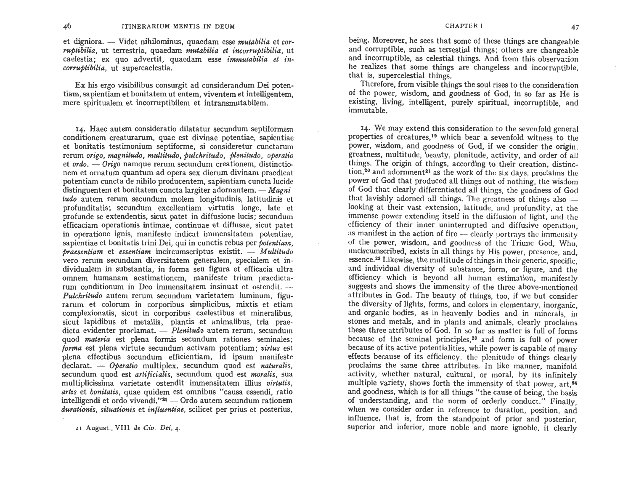et digniora. — Videt nihilominus, quaedam esse *mutabilia* et *corruptibilia,* ut terrestria, quaedam *mutabilia et incorruptibilia,* ut caelestia; ex quo advertit, quaedam esse *immutabilia et incorruptibilia,* ut supercaelestia.

Ex his ergo visibilibus consurgit ad considerandum Dei potentiam, sapientiam et bonitatem ut entem, viventem et intelligentem, mere spiritualem et incorruptibilem et intransmutabilem.

14. Haec autem consideratio dilatatur secundum septiformem conditionem creaturarum, quae est divinae potentiae, sapientiae et bonitatis testimonium septiforme, si consideretur cunctarum rerum *origo, magnitudo, multitudo, pulchritudo, plenitudo, operatio*  et *ordo.* - *Origo* namque rerum secundum creationem, distinctionem et ornatum quantum ad opera sex dierum divinam praedicat potentiam cuncta de nihilo producentem, sapientiam cuncta lucide distinguentem et bonitatem cuncta largiter adornantem. - Magni*tudo* autem rerum secundum molem longitudinis, latitudinis el profunditatis; secundum excellentiam virtutis longe, late et profunde se extendentis, sicut patet in diffusione lucis; secundum efficaciam operationis intimae, continuae et diffusae, sicut patet in operatione ignis, manifeste indicat immensitatem potentiae, sapientiae et bonitatis trini Dei, qui in cunctis rebus per *potentiam, praesentiam* et *essentiam* incircumscriptus existit. - *M ultitudo*  vero rerum secundum diversitatem generalem, specialem et individualem in substantia, in forma seu figura et efficacia ultra omnem humanam aestimationem, manifeste trium praedictarum conditionum in Deo immensitatem insinuat et ostendit. - *Pulchritudo* autem rerum secundum varietatem luminum, figurarum et colorum in corporibus simplicibus, mixtis et etiam complexionatis, sicut in corporibus caelestibus et mineralibus, sicut lapidibus et metallis, plantis et animalibus, tria praedicta evidenter proclamat. - *Plenitudo* autem rerum, secundum quod *materia* est plena formis secundum rationes seminales; *forma* est plena virtute secundum activam potentiam; *virtus* est plena effectibus secundum efficientiam, id ipsum manifeste declarat. - *Operatio* multiplex, secundum quod est *naturalis*, secundum quod est *artificialis,* secundum quod est *moralis,* sua multiplicissima varietate ostendit immensitatem illius *virtutis*, *artis* et *bonitatis,* quae quidem est omnibus "causa essendi, ratio intelligendi et ordo vivendi."<sup>21</sup> - Ordo autem secundum rationem *durationis, situationis* et *influentiae,* scilicet per prius et posterius,

21 August., VIII *de Civ. Dei,* 4·

being. Moreover, he sees that some of these things are changeable and corruptible, such as terrestial things; others are changeable and incorruptible, as celestial things. And from this observation he realizes that some things are changeless and incorruptible, that is, supercelestial things.

Therefore, from visible things the soul rises to the consideration of the power, wisdom, and goodness of God, in so far as He is existing, living, intelligent, purely spiritual, incorruptible, and immutable.

14. We may extend this consideration to the sevenfold general properties of creatures,19 which bear a sevenfold witness to the power, wisdom, and goodness of God, if we consider the origin, greatness, multitude, beauty, plenitude, activity, and order of all things. The origin of things, according to their creation, distinction,<sup>20</sup> and adornment<sup>21</sup> as the work of the six days, proclaims the power of God that produced all things out of nothing, the wisdom of God that clearly differentiated all things, the goodness of God that lavishly adorned all things. The greatness of things also looking at their vast extension, latitude, and profundity, at the immense power extending itself in the diffusion of light, and the efficiency of their inner uninterrupted and diffusive operation, as manifest in the action of fire - clearly portrays the immensity of the power, wisdom, and goodness of the Triune God, Who, uncircumscribed, exists in all things by His power, presence, and, essence.<sup>22</sup> Likewise, the multitude of things in their generic, specific, and individual diversity of substance, form, or figure, and the efficiency which is beyond all human estimation, manifestly suggests and shows the immensity of the three above-mentioned attributes in God. The beauty of things, too, if we but consider the diversity of lights, forms, and colors in elementary, inorganic, and organic bodies, as in heavenly bodies and in minerals, in stones and metals, and in plants and animals, clearly proclaims these three attributes of God. In so far as matter is full of forms because of the seminal principles, 23 and form is full of power because of its active potentialities, while power is capable of many effects because of its efficiency, the plenitude of things clearly proclaims the same three attributes. In like manner, manifold activity, whether natural, cultural, or moral, by its infinitely multiple variety, shows forth the immensity of that power, art,<sup>24</sup> and goodness, which is for all things "the cause of being, the basis of understanding, and the norm of orderly conduct." Finally, when we consider order in reference to duration, position, and influence, that is, from the standpoint of prior and posterior, superior and inferior, more noble and more ignoble, it clearly